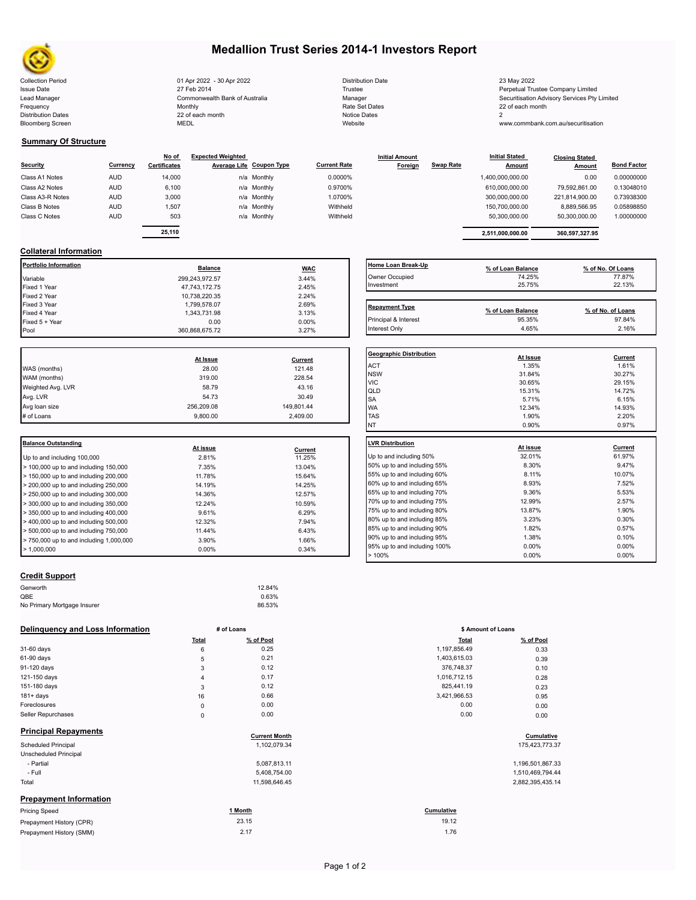

# **Medallion Trust Series 2014-1 Investors Report**

Collection Period 23 May 2022 - 30 Apr 2022 - 30 Apr 2022 Distribution Date 23 May 2022 Issue Date 27 Feb 2014 27 Feb 2014 27 Feb 2014 27 Feb 2014 22 Feb 2014 28 Feretual Trustee Company Limited Lead Manager **Commonwealth Bank of Australia** Manager Manager Securitisation Advisory Services Pty Limited Frequency and the Monthly Monthly Monthly Rate Set Dates Rate Set Dates 22 of each month Distribution Dates 22 of each month Notice Dates 22 of each month Notice Dates 2 Bloomberg Screen MEDL Website www.commbank.com.au/securitisation

| <b>Distribution Date</b> |
|--------------------------|
| Trustee                  |
| Manager                  |
| Rate Set Dates           |
| <b>Notice Dates</b>      |
| Website                  |

#### **Summary Of Structure**

|                  |            | No of               | <b>Expected Weighted</b> |                          |                     | <b>Initial Amount</b> |                  | <b>Initial Stated</b> | <b>Closing Stated</b> |                    |
|------------------|------------|---------------------|--------------------------|--------------------------|---------------------|-----------------------|------------------|-----------------------|-----------------------|--------------------|
| <b>Security</b>  | Currency   | <b>Certificates</b> |                          | Average Life Coupon Type | <b>Current Rate</b> | Foreign               | <b>Swap Rate</b> | <b>Amount</b>         | Amount                | <b>Bond Factor</b> |
| Class A1 Notes   | <b>AUD</b> | 14,000              |                          | n/a Monthly              | 0.0000%             |                       |                  | 1,400,000,000.00      | 0.00                  | 0.00000000         |
| Class A2 Notes   | <b>AUD</b> | 6,100               |                          | n/a Monthly              | 0.9700%             |                       |                  | 610,000,000.00        | 79,592,861.00         | 0.13048010         |
| Class A3-R Notes | <b>AUD</b> | 3,000               |                          | n/a Monthly              | 1.0700%             |                       |                  | 300.000.000.00        | 221.814.900.00        | 0.73938300         |
| Class B Notes    | <b>AUD</b> | 1,507               |                          | n/a Monthly              | Withheld            |                       |                  | 150.700.000.00        | 8.889.566.95          | 0.05898850         |
| Class C Notes    | <b>AUD</b> | 503                 |                          | n/a Monthly              | Withheld            |                       |                  | 50.300.000.00         | 50,300,000.00         | 1.00000000         |
|                  |            |                     |                          |                          |                     |                       |                  |                       |                       |                    |
|                  |            | 25,110              |                          |                          |                     |                       |                  | 2,511,000,000.00      | 360,597,327.95        |                    |

| Currency | No of<br>Certificates | <b>Expected Weighted</b> | Average Life Coupon Type | <b>Current Rate</b> | <b>Initial Amount</b><br>Foreign | Swap Rate | <b>Initial Stated</b><br><b>Amount</b> | <b>Closing Stated</b><br>Amount | <b>Bond Factor</b> |
|----------|-----------------------|--------------------------|--------------------------|---------------------|----------------------------------|-----------|----------------------------------------|---------------------------------|--------------------|
| AUD      | 14.000                |                          | n/a Monthly              | 0.0000%             |                                  |           | 1.400.000.000.00                       | 0.00                            | 0.00000000         |
| AUD      | 6.100                 |                          | n/a Monthly              | 0.9700%             |                                  |           | 610.000.000.00                         | 79.592.861.00                   | 0.13048010         |
| AUD      | 3.000                 |                          | n/a Monthly              | 1.0700%             |                                  |           | 300.000.000.00                         | 221.814.900.00                  | 0.73938300         |
| AUD      | 1,507                 |                          | n/a Monthly              | Withheld            |                                  |           | 150.700.000.00                         | 8.889.566.95                    | 0.05898850         |
| AUD      | 503                   |                          | n/a Monthly              | Withheld            |                                  |           | 50,300,000.00                          | 50,300,000.00                   | 1.00000000         |

#### **Collateral Information**

| Portfolio Information | <b>Balance</b> | <b>WAC</b> | Home Loan Break-Up    | % of Loan Balance | % of No. Of Loans |
|-----------------------|----------------|------------|-----------------------|-------------------|-------------------|
| Variable              | 299,243,972.57 | 3.44%      | Owner Occupied        | 74.25%            | 77.87%            |
| Fixed 1 Year          | 47,743,172.75  | 2.45%      | Investment            | 25.75%            | 22.13%            |
| Fixed 2 Year          | 10.738.220.35  | 2.24%      |                       |                   |                   |
| Fixed 3 Year          | 1,799,578.07   | 2.69%      | <b>Repayment Type</b> |                   |                   |
| Fixed 4 Year          | 1,343,731.98   | 3.13%      |                       | % of Loan Balance | % of No. of Loans |
| Fixed 5 + Year        | 0.00           | $0.00\%$   | Principal & Interest  | 95.35%            | 97.84%            |
| Pool                  | 360,868,675.72 | 3.27%      | Interest Only         | 4.65%             | 2.16%             |

|                   | At Issue   | Current    |  |
|-------------------|------------|------------|--|
| WAS (months)      | 28.00      | 121.48     |  |
| WAM (months)      | 319.00     | 228.54     |  |
| Weighted Avg. LVR | 58.79      | 43.16      |  |
| Avg. LVR          | 54.73      | 30.49      |  |
| Avg loan size     | 256,209.08 | 149,801.44 |  |
| # of Loans        | 9,800.00   | 2,409.00   |  |

| Balance Outstanding                                       |          |         | LVR Distribution    |
|-----------------------------------------------------------|----------|---------|---------------------|
|                                                           | At issue | Current |                     |
| Up to and including 100,000                               | 2.81%    | 11.25%  | Up to and including |
| $>$ 100,000 up to and including 150,000                   | 7.35%    | 13.04%  | 50% up to and incl  |
| $>$ 150,000 up to and including 200,000                   | 11.78%   | 15.64%  | 55% up to and incl  |
| $>$ 200,000 up to and including 250,000                   | 14.19%   | 14.25%  | 60% up to and incl  |
| $\geq$ 250,000 up to and including 300,000                | 14.36%   | 12.57%  | 65% up to and incl  |
| $\geq$ 300,000 up to and including 350,000                | 12.24%   | 10.59%  | 70% up to and incl  |
| $\blacktriangleright$ 350,000 up to and including 400,000 | 9.61%    | 6.29%   | 75% up to and incl  |
| $>$ 400,000 up to and including 500,000                   | 12.32%   | 7.94%   | 80% up to and incl  |
| $\geq 500,000$ up to and including 750,000                | 11.44%   | 6.43%   | 85% up to and incl  |
| $> 750,000$ up to and including 1,000,000                 | 3.90%    | 1.66%   | 90% up to and incl  |
|                                                           |          |         | 95% up to and incl  |
| $\blacktriangleright$ 1.000.000                           | $0.00\%$ | 0.34%   |                     |

## **Home Loan Break-Up**<br> **9% of Loan Balance**<br> **14.25% 17.87%**<br> **12.13%**<br> **12.13%**<br> **12.13%** Owner Occupied 74.25% 74.25% 77.25% Investment 25.75% 22.13% **Repayment Type Repayment Type % of Loan Balance % of No. of Loans**

| <b>Geographic Distribution</b> | At Issue | <b>Current</b> |
|--------------------------------|----------|----------------|
| <b>ACT</b>                     | 1.35%    | 1.61%          |
| <b>NSW</b>                     | 31.84%   | 30.27%         |
| <b>VIC</b>                     | 30.65%   | 29.15%         |
| QLD                            | 15.31%   | 14.72%         |
| <b>SA</b>                      | 5.71%    | 6.15%          |
| <b>WA</b>                      | 12.34%   | 14.93%         |
| <b>TAS</b>                     | 1.90%    | 2.20%          |
| <b>NT</b>                      | 0.90%    | 0.97%          |
| <b>LVR Distribution</b>        | At issue | Current        |
|                                |          |                |
| Up to and including 50%        | 32.01%   | 61.97%         |
| 50% up to and including 55%    | 8.30%    | 9.47%          |
| 55% up to and including 60%    | 8.11%    | 10.07%         |
| 60% up to and including 65%    | 8.93%    | 7.52%          |
| 65% up to and including 70%    | 9.36%    | 5.53%          |
| 70% up to and including 75%    | 12.99%   | 2.57%          |
| 75% up to and including 80%    | 13.87%   | 1.90%          |
| 80% up to and including 85%    | 3.23%    | 0.30%          |
| 85% up to and including 90%    | 1.82%    | 0.57%          |
| 90% up to and including 95%    | 1.38%    | 0.10%          |
| 95% up to and including 100%   | 0.00%    | $0.00\%$       |
|                                |          |                |
| >100%                          | 0.00%    | 0.00%          |

### **Credit Support**

| Genworth                    | 12.84% |  |
|-----------------------------|--------|--|
| QBE                         | 0.63%  |  |
| No Primary Mortgage Insurer | 86.53% |  |
|                             |        |  |

#### **Delinquency and Loss Information # of Loans**

|                               | Total       | % of Pool            | <b>Total</b> | % of Pool        |
|-------------------------------|-------------|----------------------|--------------|------------------|
| 31-60 days                    | 6           | 0.25                 | 1,197,856.49 | 0.33             |
| 61-90 days                    | 5           | 0.21                 | 1,403,615.03 | 0.39             |
| 91-120 days                   | 3           | 0.12                 | 376,748.37   | 0.10             |
| 121-150 days                  | 4           | 0.17                 | 1,016,712.15 | 0.28             |
| 151-180 days                  | 3           | 0.12                 | 825,441.19   | 0.23             |
| $181 + days$                  | 16          | 0.66                 | 3,421,966.53 | 0.95             |
| Foreclosures                  | $\mathsf 0$ | 0.00                 | 0.00         | 0.00             |
| Seller Repurchases            | $\mathsf 0$ | 0.00                 | 0.00         | 0.00             |
| <b>Principal Repayments</b>   |             | <b>Current Month</b> |              | Cumulative       |
| Scheduled Principal           |             | 1,102,079.34         |              | 175,423,773.37   |
| Unscheduled Principal         |             |                      |              |                  |
| - Partial                     |             | 5,087,813.11         |              | 1,196,501,867.33 |
| - Full                        |             | 5,408,754.00         |              | 1,510,469,794.44 |
| Total                         |             | 11,598,646.45        |              | 2,882,395,435.14 |
| <b>Prepayment Information</b> |             |                      |              |                  |
| <b>Pricing Speed</b>          |             | 1 Month              | Cumulative   |                  |
| Prepayment History (CPR)      |             | 23.15                | 19.12        |                  |
| Prepayment History (SMM)      |             | 2.17                 | 1.76         |                  |

|       | # of Loans           | \$ Amount of Loans |            |  |
|-------|----------------------|--------------------|------------|--|
| Total | % of Pool            | Total              | % of Pool  |  |
| 6     | 0.25                 | 1,197,856.49       | 0.33       |  |
| 5     | 0.21                 | 1,403,615.03       | 0.39       |  |
| 3     | 0.12                 | 376,748.37         | 0.10       |  |
| 4     | 0.17                 | 1,016,712.15       | 0.28       |  |
| 3     | 0.12                 | 825,441.19         | 0.23       |  |
| 16    | 0.66                 | 3,421,966.53       | 0.95       |  |
| 0     | 0.00                 | 0.00               | 0.00       |  |
| 0     | 0.00                 | 0.00               | 0.00       |  |
|       | <b>Current Month</b> |                    | Cumulative |  |